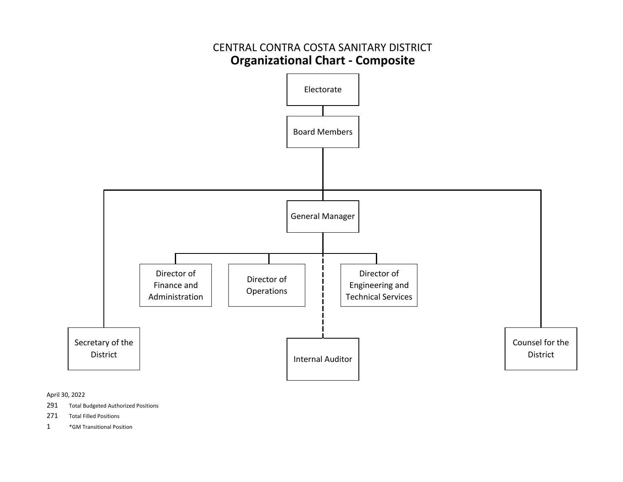

April 30, 2022

- 291Total Budgeted Authorized Positions
- 271Total Filled Positions
- 1\*GM Transitional Position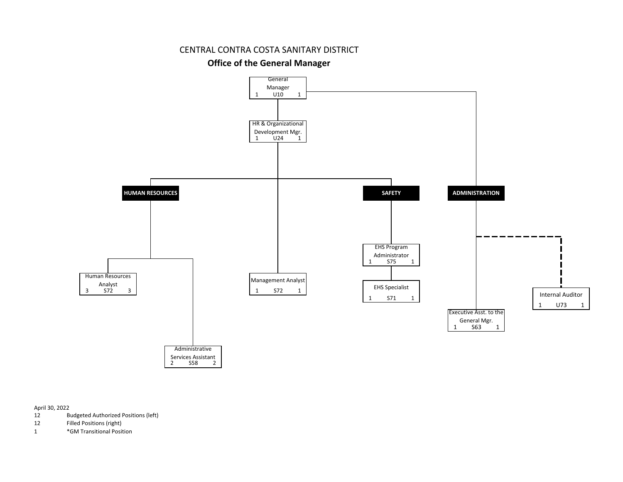#### CENTRAL CONTRA COSTA SANITARY DISTRICT

#### **Office of the General Manager**



April 30, 2022

- 12 Budgeted Authorized Positions (left)
- 12 Filled Positions (right)
- 1 \*GM Transitional Position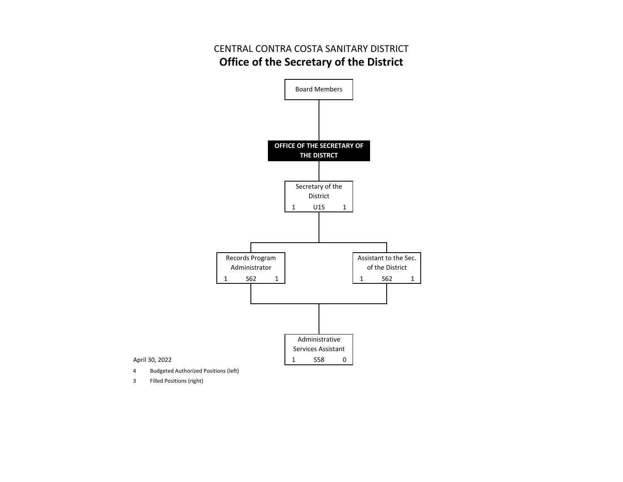## CENTRAL CONTRA COSTA SANITARY DISTRICT **Office of the Secretary of the District**



3 Filled Positions (right)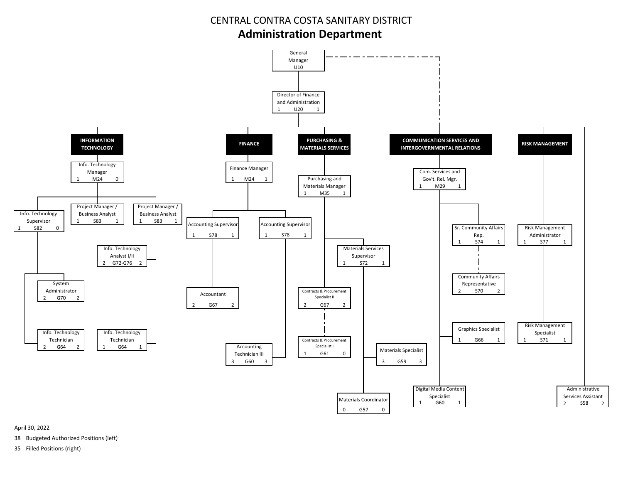## CENTRAL CONTRA COSTA SANITARY DISTRICT**Administration Department**



April 30, 2022

38 Budgeted Authorized Positions (left)

35 Filled Positions (right)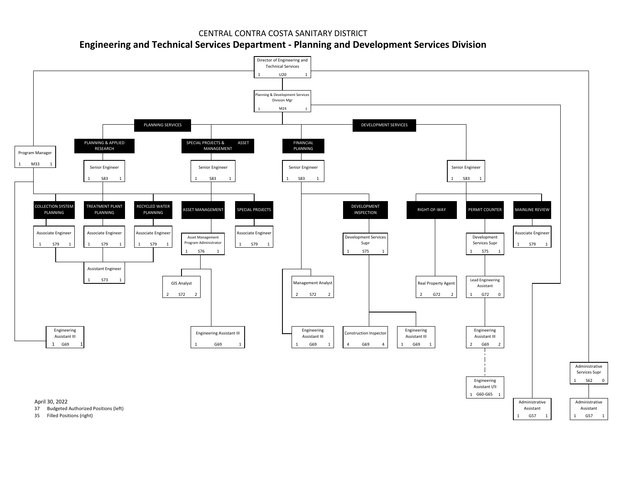### CENTRAL CONTRA COSTA SANITARY DISTRICT**Engineering and Technical Services Department ‐ Planning and Development Services Division**

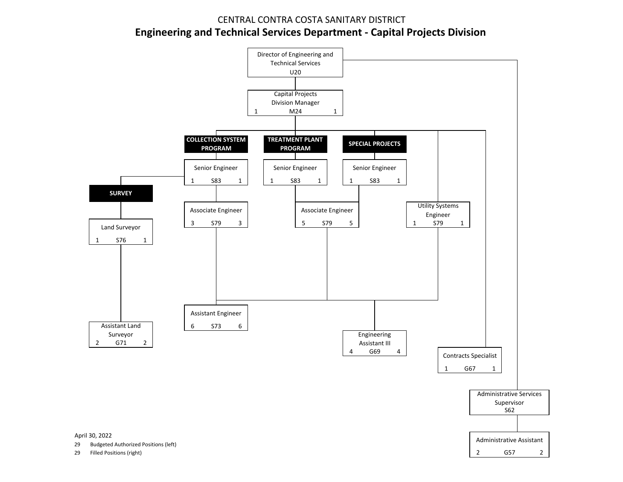### CENTRAL CONTRA COSTA SANITARY DISTRICT **Engineering and Technical Services Department ‐ Capital Projects Division**

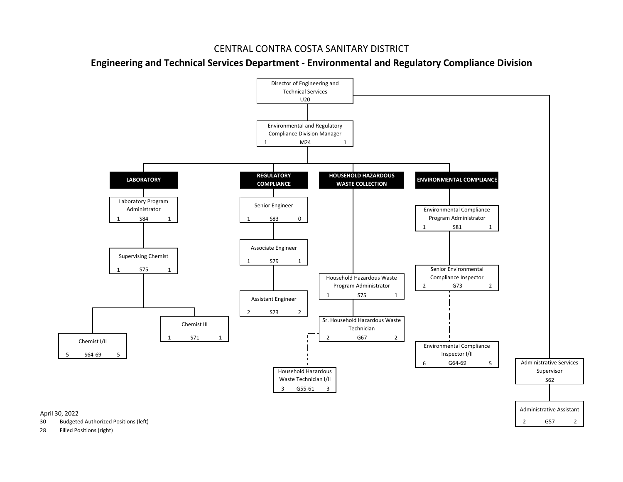### CENTRAL CONTRA COSTA SANITARY DISTRICT

**Engineering and Technical Services Department ‐ Environmental and Regulatory Compliance Division**



28 Filled Positions (right)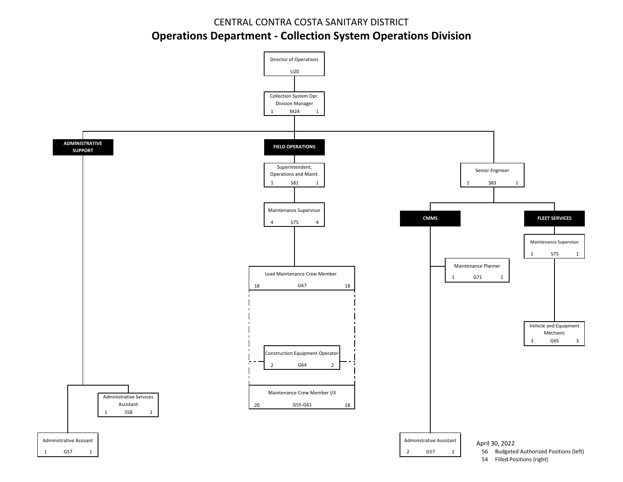# CENTRAL CONTRA COSTA SANITARY DISTRICT**Operations Department ‐ Collection System Operations Division**

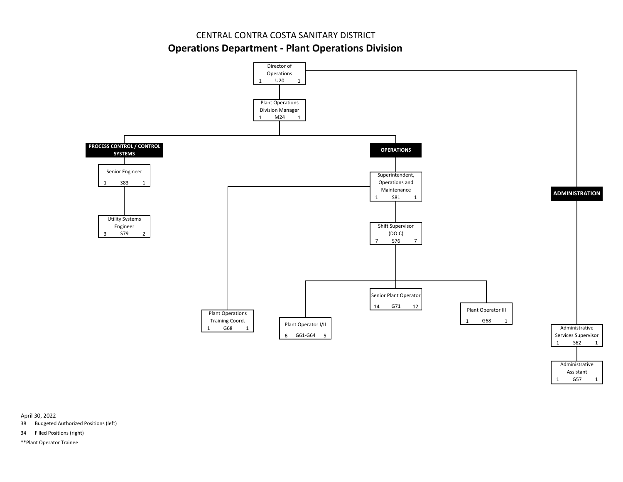CENTRAL CONTRA COSTA SANITARY DISTRICT

**Operations Department ‐ Plant Operations Division**



April 30, 2022

38 Budgeted Authorized Positions (left)

34 Filled Positions (right)

\*\*Plant Operator Trainee